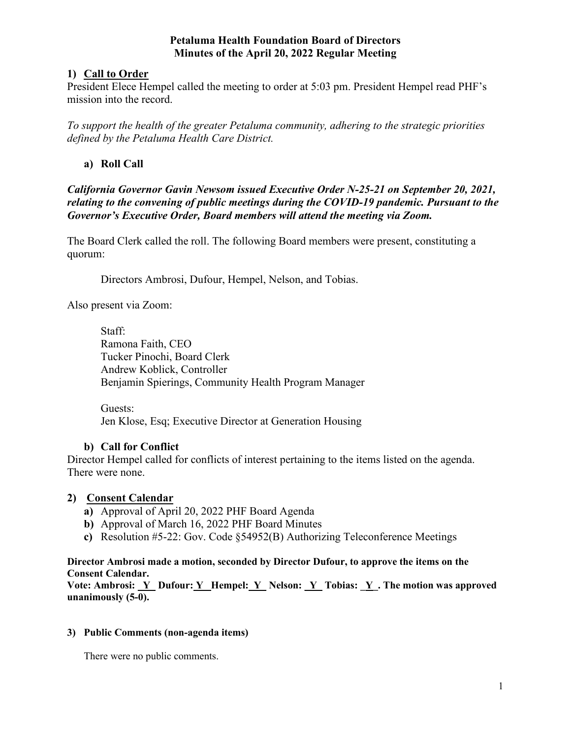### **Petaluma Health Foundation Board of Directors Minutes of the April 20, 2022 Regular Meeting**

# **1) Call to Order**

President Elece Hempel called the meeting to order at 5:03 pm. President Hempel read PHF's mission into the record.

*To support the health of the greater Petaluma community, adhering to the strategic priorities defined by the Petaluma Health Care District.* 

# **a) Roll Call**

*California Governor Gavin Newsom issued Executive Order N-25-21 on September 20, 2021, relating to the convening of public meetings during the COVID-19 pandemic. Pursuant to the Governor's Executive Order, Board members will attend the meeting via Zoom.* 

The Board Clerk called the roll. The following Board members were present, constituting a quorum:

Directors Ambrosi, Dufour, Hempel, Nelson, and Tobias.

Also present via Zoom:

Staff: Ramona Faith, CEO Tucker Pinochi, Board Clerk Andrew Koblick, Controller Benjamin Spierings, Community Health Program Manager

Guests: Jen Klose, Esq; Executive Director at Generation Housing

# **b) Call for Conflict**

Director Hempel called for conflicts of interest pertaining to the items listed on the agenda. There were none.

# **2) Consent Calendar**

- **a)** Approval of April 20, 2022 PHF Board Agenda
- **b)** Approval of March 16, 2022 PHF Board Minutes
- **c)** Resolution #5-22: Gov. Code §54952(B) Authorizing Teleconference Meetings

#### **Director Ambrosi made a motion, seconded by Director Dufour, to approve the items on the Consent Calendar.**

Vote: Ambrosi: Y\_ Dufour: Y\_ Hempel: Y\_ Nelson: Y\_ Tobias: Y\_. The motion was approved **unanimously (5-0).** 

#### **3) Public Comments (non-agenda items)**

There were no public comments.